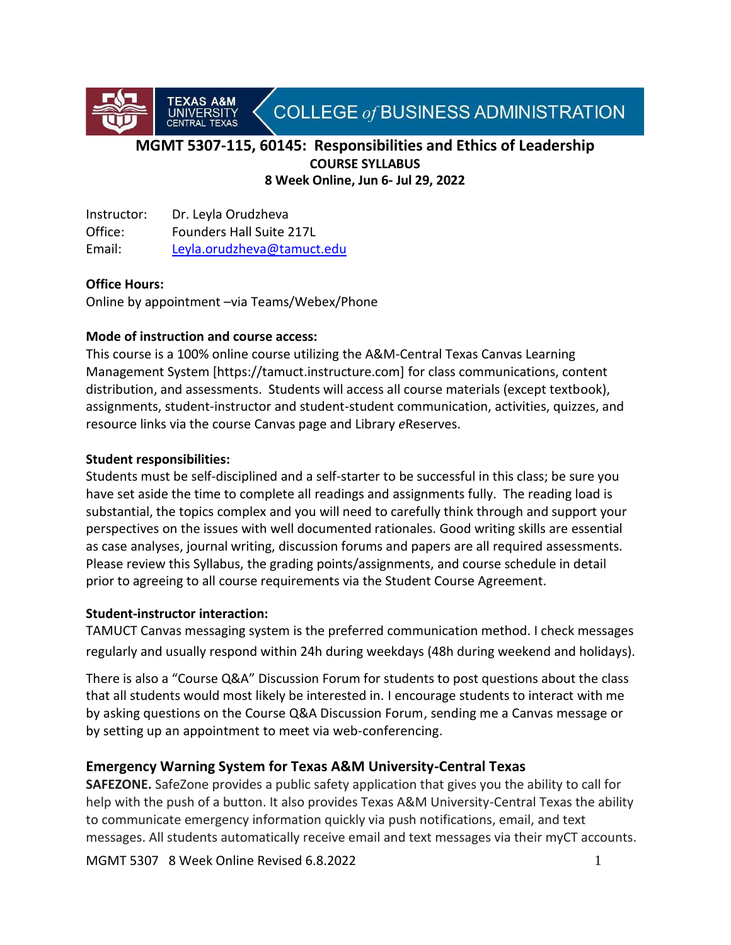

# **MGMT 5307-115, 60145: Responsibilities and Ethics of Leadership COURSE SYLLABUS 8 Week Online, Jun 6- Jul 29, 2022**

Instructor: Dr. Leyla Orudzheva Office: Founders Hall Suite 217L Email: [Leyla.orudzheva@tamuct.edu](mailto:Leyla.orudzheva@tamuct.edu)

A&M

#### **Office Hours:**

Online by appointment –via Teams/Webex/Phone

#### **Mode of instruction and course access:**

This course is a 100% online course utilizing the A&M-Central Texas Canvas Learning Management System [https://tamuct.instructure.com] for class communications, content distribution, and assessments. Students will access all course materials (except textbook), assignments, student-instructor and student-student communication, activities, quizzes, and resource links via the course Canvas page and Library *e*Reserves.

#### **Student responsibilities:**

Students must be self-disciplined and a self-starter to be successful in this class; be sure you have set aside the time to complete all readings and assignments fully. The reading load is substantial, the topics complex and you will need to carefully think through and support your perspectives on the issues with well documented rationales. Good writing skills are essential as case analyses, journal writing, discussion forums and papers are all required assessments. Please review this Syllabus, the grading points/assignments, and course schedule in detail prior to agreeing to all course requirements via the Student Course Agreement.

#### **Student-instructor interaction:**

TAMUCT Canvas messaging system is the preferred communication method. I check messages regularly and usually respond within 24h during weekdays (48h during weekend and holidays).

There is also a "Course Q&A" Discussion Forum for students to post questions about the class that all students would most likely be interested in. I encourage students to interact with me by asking questions on the Course Q&A Discussion Forum, sending me a Canvas message or by setting up an appointment to meet via web-conferencing.

## **Emergency Warning System for Texas A&M University-Central Texas**

**SAFEZONE.** SafeZone provides a public safety application that gives you the ability to call for help with the push of a button. It also provides Texas A&M University-Central Texas the ability to communicate emergency information quickly via push notifications, email, and text messages. All students automatically receive email and text messages via their myCT accounts.

MGMT 5307 8 Week Online Revised 6.8.2022 1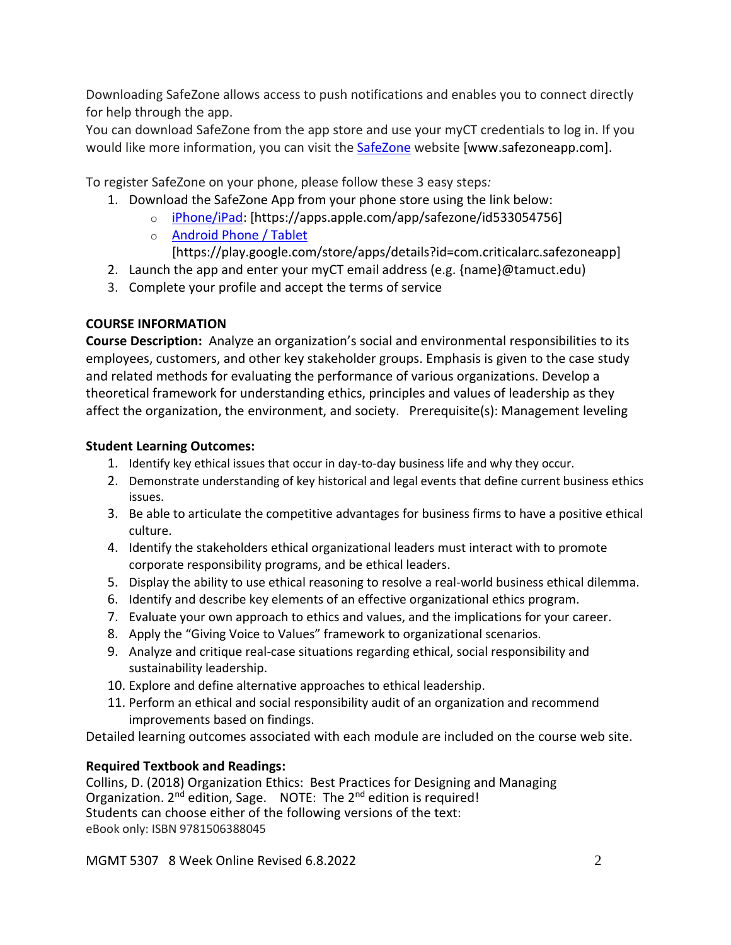Downloading SafeZone allows access to push notifications and enables you to connect directly for help through the app.

You can download SafeZone from the app store and use your myCT credentials to log in. If you would like more information, you can visit the [SafeZone](http://www.safezoneapp.com/) website [www.safezoneapp.com].

To register SafeZone on your phone, please follow these 3 easy steps*:*

- 1. Download the SafeZone App from your phone store using the link below:
	- o [iPhone/iPad:](https://apps.apple.com/app/safezone/id533054756) [https://apps.apple.com/app/safezone/id533054756]
	- o [Android Phone / Tablet](https://play.google.com/store/apps/details?id=com.criticalarc.safezoneapp)
	- [https://play.google.com/store/apps/details?id=com.criticalarc.safezoneapp]
- 2. Launch the app and enter your myCT email address (e.g. {name}@tamuct.edu)
- 3. Complete your profile and accept the terms of service

# **COURSE INFORMATION**

**Course Description:** Analyze an organization's social and environmental responsibilities to its employees, customers, and other key stakeholder groups. Emphasis is given to the case study and related methods for evaluating the performance of various organizations. Develop a theoretical framework for understanding ethics, principles and values of leadership as they affect the organization, the environment, and society. Prerequisite(s): Management leveling

# **Student Learning Outcomes:**

- 1. Identify key ethical issues that occur in day-to-day business life and why they occur.
- 2. Demonstrate understanding of key historical and legal events that define current business ethics issues.
- 3. Be able to articulate the competitive advantages for business firms to have a positive ethical culture.
- 4. Identify the stakeholders ethical organizational leaders must interact with to promote corporate responsibility programs, and be ethical leaders.
- 5. Display the ability to use ethical reasoning to resolve a real-world business ethical dilemma.
- 6. Identify and describe key elements of an effective organizational ethics program.
- 7. Evaluate your own approach to ethics and values, and the implications for your career.
- 8. Apply the "Giving Voice to Values" framework to organizational scenarios.
- 9. Analyze and critique real-case situations regarding ethical, social responsibility and sustainability leadership.
- 10. Explore and define alternative approaches to ethical leadership.
- 11. Perform an ethical and social responsibility audit of an organization and recommend improvements based on findings.

Detailed learning outcomes associated with each module are included on the course web site.

# **Required Textbook and Readings:**

Collins, D. (2018) Organization Ethics: Best Practices for Designing and Managing Organization. 2<sup>nd</sup> edition, Sage. NOTE: The 2<sup>nd</sup> edition is required! Students can choose either of the following versions of the text: eBook only: ISBN 9781506388045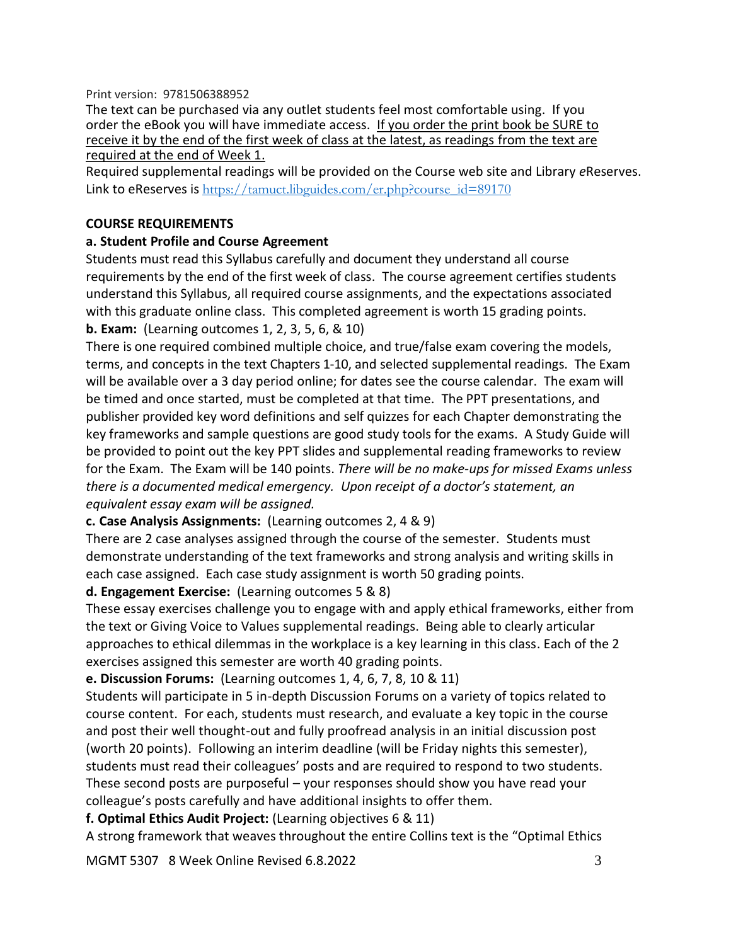#### Print version: 9781506388952

The text can be purchased via any outlet students feel most comfortable using. If you order the eBook you will have immediate access. If you order the print book be SURE to receive it by the end of the first week of class at the latest, as readings from the text are required at the end of Week 1.

Required supplemental readings will be provided on the Course web site and Library *e*Reserves. Link to eReserves is  $\frac{https://tamuct.lib guides.com/er.php?course_id=89170}{https://tamuct.lib guides.com/er.php?course_id=89170}$ 

#### **COURSE REQUIREMENTS**

#### **a. Student Profile and Course Agreement**

Students must read this Syllabus carefully and document they understand all course requirements by the end of the first week of class. The course agreement certifies students understand this Syllabus, all required course assignments, and the expectations associated with this graduate online class. This completed agreement is worth 15 grading points. **b. Exam:** (Learning outcomes 1, 2, 3, 5, 6, & 10)

There is one required combined multiple choice, and true/false exam covering the models, terms, and concepts in the text Chapters 1-10, and selected supplemental readings. The Exam will be available over a 3 day period online; for dates see the course calendar. The exam will be timed and once started, must be completed at that time. The PPT presentations, and publisher provided key word definitions and self quizzes for each Chapter demonstrating the key frameworks and sample questions are good study tools for the exams. A Study Guide will be provided to point out the key PPT slides and supplemental reading frameworks to review for the Exam. The Exam will be 140 points. *There will be no make-ups for missed Exams unless there is a documented medical emergency. Upon receipt of a doctor's statement, an equivalent essay exam will be assigned.* 

#### **c. Case Analysis Assignments:** (Learning outcomes 2, 4 & 9)

There are 2 case analyses assigned through the course of the semester. Students must demonstrate understanding of the text frameworks and strong analysis and writing skills in each case assigned. Each case study assignment is worth 50 grading points.

#### **d. Engagement Exercise:** (Learning outcomes 5 & 8)

These essay exercises challenge you to engage with and apply ethical frameworks, either from the text or Giving Voice to Values supplemental readings. Being able to clearly articular approaches to ethical dilemmas in the workplace is a key learning in this class. Each of the 2 exercises assigned this semester are worth 40 grading points.

**e. Discussion Forums:** (Learning outcomes 1, 4, 6, 7, 8, 10 & 11)

Students will participate in 5 in-depth Discussion Forums on a variety of topics related to course content. For each, students must research, and evaluate a key topic in the course and post their well thought-out and fully proofread analysis in an initial discussion post (worth 20 points). Following an interim deadline (will be Friday nights this semester), students must read their colleagues' posts and are required to respond to two students. These second posts are purposeful – your responses should show you have read your colleague's posts carefully and have additional insights to offer them.

**f. Optimal Ethics Audit Project:** (Learning objectives 6 & 11)

A strong framework that weaves throughout the entire Collins text is the "Optimal Ethics

MGMT 5307 8 Week Online Revised 6.8.2022 3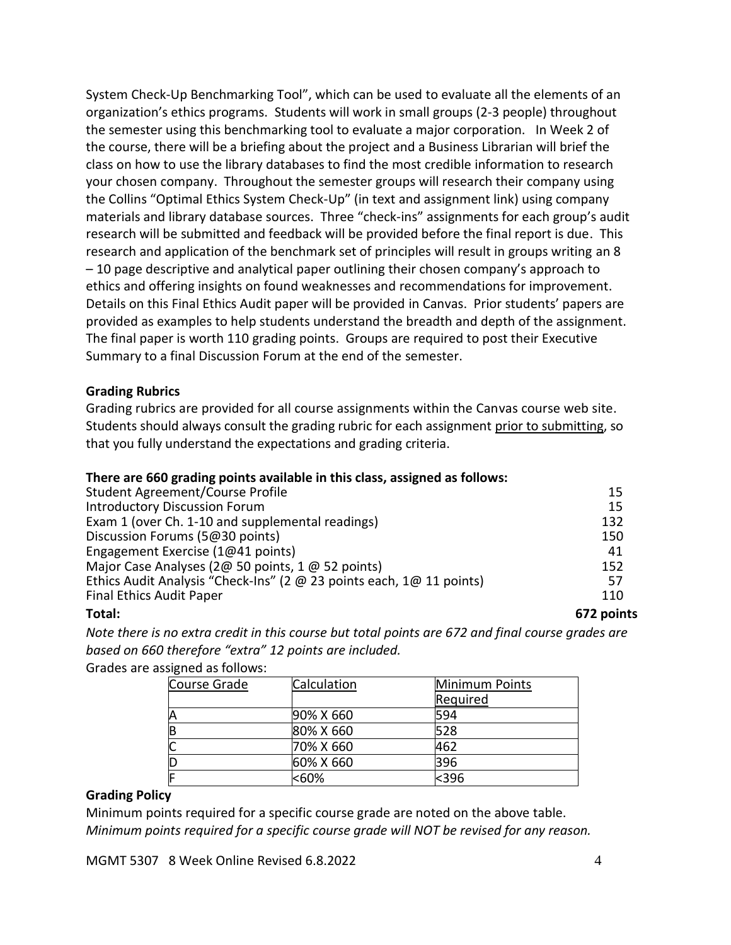System Check-Up Benchmarking Tool", which can be used to evaluate all the elements of an organization's ethics programs. Students will work in small groups (2-3 people) throughout the semester using this benchmarking tool to evaluate a major corporation. In Week 2 of the course, there will be a briefing about the project and a Business Librarian will brief the class on how to use the library databases to find the most credible information to research your chosen company. Throughout the semester groups will research their company using the Collins "Optimal Ethics System Check-Up" (in text and assignment link) using company materials and library database sources. Three "check-ins" assignments for each group's audit research will be submitted and feedback will be provided before the final report is due. This research and application of the benchmark set of principles will result in groups writing an 8 – 10 page descriptive and analytical paper outlining their chosen company's approach to ethics and offering insights on found weaknesses and recommendations for improvement. Details on this Final Ethics Audit paper will be provided in Canvas. Prior students' papers are provided as examples to help students understand the breadth and depth of the assignment. The final paper is worth 110 grading points. Groups are required to post their Executive Summary to a final Discussion Forum at the end of the semester.

#### **Grading Rubrics**

Grading rubrics are provided for all course assignments within the Canvas course web site. Students should always consult the grading rubric for each assignment prior to submitting, so that you fully understand the expectations and grading criteria.

#### **There are 660 grading points available in this class, assigned as follows:**

| Total:                                                               | 672 points |
|----------------------------------------------------------------------|------------|
| <b>Final Ethics Audit Paper</b>                                      | 110        |
| Ethics Audit Analysis "Check-Ins" (2 @ 23 points each, 1@ 11 points) | 57         |
| Major Case Analyses (2@ 50 points, 1 @ 52 points)                    | 152        |
| Engagement Exercise (1@41 points)                                    | 41         |
| Discussion Forums (5@30 points)                                      | 150        |
| Exam 1 (over Ch. 1-10 and supplemental readings)                     | 132        |
| <b>Introductory Discussion Forum</b>                                 | 15         |
| Student Agreement/Course Profile                                     | 15         |

*Note there is no extra credit in this course but total points are 672 and final course grades are based on 660 therefore "extra" 12 points are included.*

Grades are assigned as follows:

| Course Grade | Calculation | Minimum Points |
|--------------|-------------|----------------|
|              |             | Required       |
| Α            | 90% X 660   | 594            |
| B            | 80% X 660   | 528            |
| Ć            | 70% X 660   | 462            |
| D            | 60% X 660   | 396            |
| E            | <60%        | $396$          |

#### **Grading Policy**

Minimum points required for a specific course grade are noted on the above table. *Minimum points required for a specific course grade will NOT be revised for any reason.*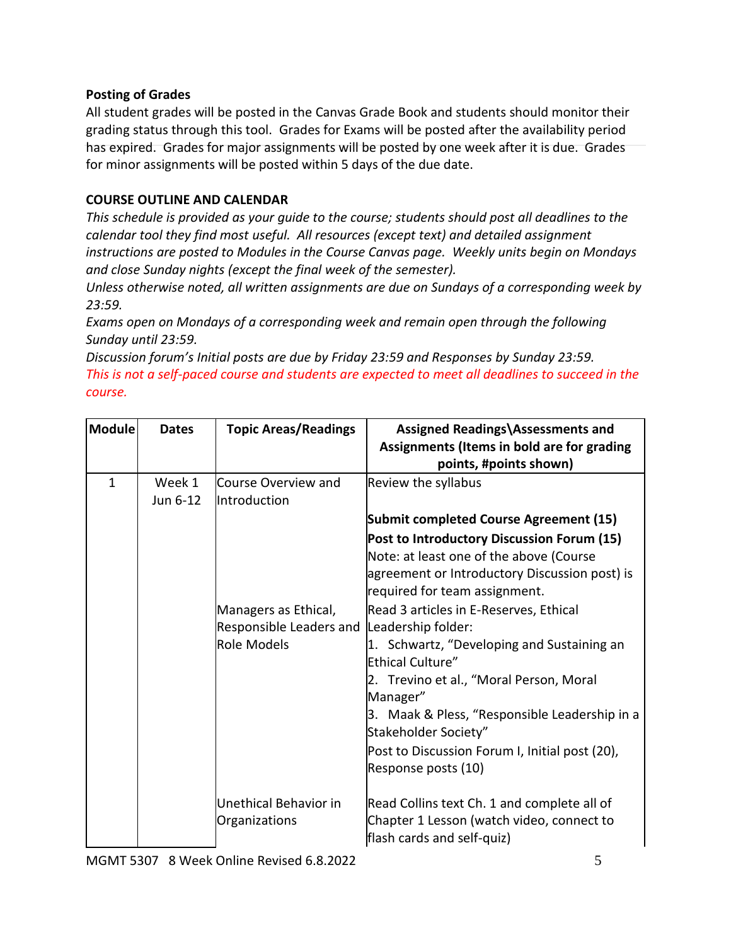## **Posting of Grades**

All student grades will be posted in the Canvas Grade Book and students should monitor their grading status through this tool. Grades for Exams will be posted after the availability period has expired. Grades for major assignments will be posted by one week after it is due. Grades for minor assignments will be posted within 5 days of the due date.

# **COURSE OUTLINE AND CALENDAR**

*This schedule is provided as your guide to the course; students should post all deadlines to the calendar tool they find most useful. All resources (except text) and detailed assignment instructions are posted to Modules in the Course Canvas page. Weekly units begin on Mondays and close Sunday nights (except the final week of the semester).* 

*Unless otherwise noted, all written assignments are due on Sundays of a corresponding week by 23:59.*

*Exams open on Mondays of a corresponding week and remain open through the following Sunday until 23:59.*

*Discussion forum's Initial posts are due by Friday 23:59 and Responses by Sunday 23:59. This is not a self-paced course and students are expected to meet all deadlines to succeed in the course.*

| Module       | <b>Dates</b>       | <b>Topic Areas/Readings</b>                                    | Assigned Readings\Assessments and<br>Assignments (Items in bold are for grading<br>points, #points shown)                                                                                                                                                                                                                                                                                                                                                                   |
|--------------|--------------------|----------------------------------------------------------------|-----------------------------------------------------------------------------------------------------------------------------------------------------------------------------------------------------------------------------------------------------------------------------------------------------------------------------------------------------------------------------------------------------------------------------------------------------------------------------|
| $\mathbf{1}$ | Week 1<br>Jun 6-12 | Course Overview and<br><b>Introduction</b>                     | Review the syllabus<br><b>Submit completed Course Agreement (15)</b><br>Post to Introductory Discussion Forum (15)                                                                                                                                                                                                                                                                                                                                                          |
|              |                    | Managers as Ethical,<br>Responsible Leaders and<br>Role Models | Note: at least one of the above (Course<br>agreement or Introductory Discussion post) is<br>required for team assignment.<br>Read 3 articles in E-Reserves, Ethical<br>Leadership folder:<br>1. Schwartz, "Developing and Sustaining an<br><b>Ethical Culture"</b><br>2. Trevino et al., "Moral Person, Moral<br>Manager"<br>3. Maak & Pless, "Responsible Leadership in a<br>Stakeholder Society"<br>Post to Discussion Forum I, Initial post (20),<br>Response posts (10) |
|              |                    | Unethical Behavior in<br>Organizations                         | Read Collins text Ch. 1 and complete all of<br>Chapter 1 Lesson (watch video, connect to<br>flash cards and self-quiz)                                                                                                                                                                                                                                                                                                                                                      |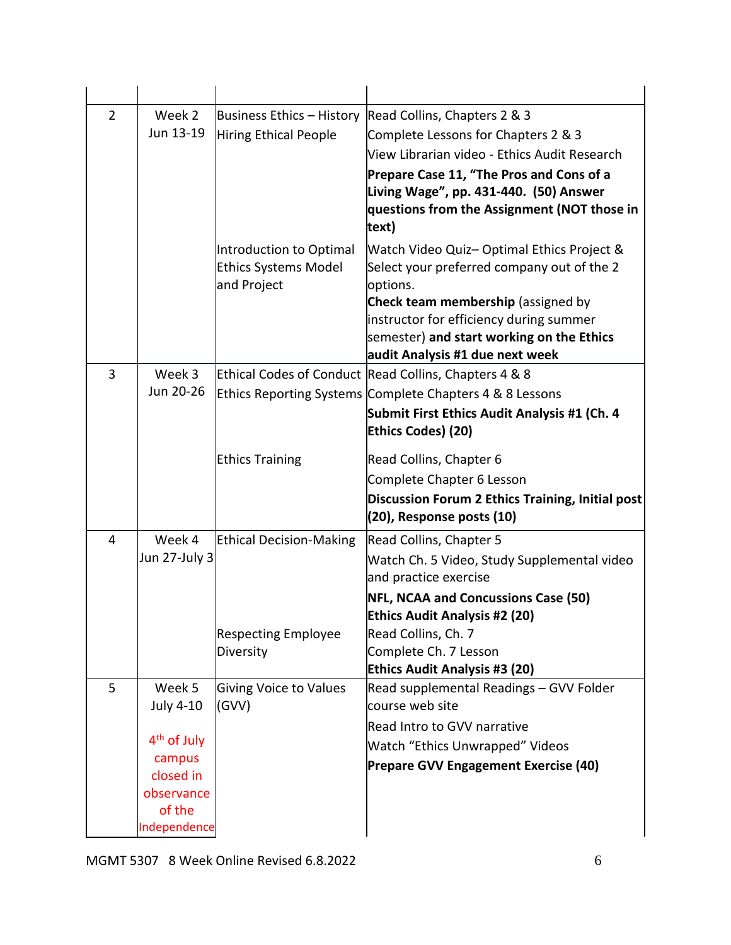| $\overline{2}$ | Week 2                  | Business Ethics - History      | Read Collins, Chapters 2 & 3                                                         |
|----------------|-------------------------|--------------------------------|--------------------------------------------------------------------------------------|
|                | Jun 13-19               | Hiring Ethical People          | Complete Lessons for Chapters 2 & 3                                                  |
|                |                         |                                | View Librarian video - Ethics Audit Research                                         |
|                |                         |                                | Prepare Case 11, "The Pros and Cons of a                                             |
|                |                         |                                | Living Wage", pp. 431-440. (50) Answer                                               |
|                |                         |                                | questions from the Assignment (NOT those in                                          |
|                |                         |                                | text)                                                                                |
|                |                         | Introduction to Optimal        | Watch Video Quiz- Optimal Ethics Project &                                           |
|                |                         | <b>Ethics Systems Model</b>    | Select your preferred company out of the 2                                           |
|                |                         | and Project                    | options.                                                                             |
|                |                         |                                | Check team membership (assigned by                                                   |
|                |                         |                                | instructor for efficiency during summer<br>semester) and start working on the Ethics |
|                |                         |                                | audit Analysis #1 due next week                                                      |
| 3              | Week 3                  |                                | Ethical Codes of Conduct Read Collins, Chapters 4 & 8                                |
|                | Jun 20-26               |                                | Ethics Reporting Systems Complete Chapters 4 & 8 Lessons                             |
|                |                         |                                | Submit First Ethics Audit Analysis #1 (Ch. 4                                         |
|                |                         |                                | <b>Ethics Codes) (20)</b>                                                            |
|                |                         |                                |                                                                                      |
|                |                         | <b>Ethics Training</b>         | Read Collins, Chapter 6                                                              |
|                |                         |                                | Complete Chapter 6 Lesson                                                            |
|                |                         |                                | Discussion Forum 2 Ethics Training, Initial post<br>(20), Response posts (10)        |
|                |                         |                                |                                                                                      |
| 4              | Week 4                  | <b>Ethical Decision-Making</b> | Read Collins, Chapter 5                                                              |
|                | Jun 27-July 3           |                                | Watch Ch. 5 Video, Study Supplemental video                                          |
|                |                         |                                | and practice exercise                                                                |
|                |                         |                                | <b>NFL, NCAA and Concussions Case (50)</b>                                           |
|                |                         | <b>Respecting Employee</b>     | <b>Ethics Audit Analysis #2 (20)</b><br>Read Collins, Ch. 7                          |
|                |                         | Diversity                      | Complete Ch. 7 Lesson                                                                |
|                |                         |                                | <b>Ethics Audit Analysis #3 (20)</b>                                                 |
| 5              | Week 5                  | <b>Giving Voice to Values</b>  | Read supplemental Readings - GVV Folder                                              |
|                | July 4-10               | (GVV)                          | course web site                                                                      |
|                |                         |                                | Read Intro to GVV narrative                                                          |
|                | 4 <sup>th</sup> of July |                                | <b>Watch "Ethics Unwrapped" Videos</b>                                               |
|                | campus                  |                                | Prepare GVV Engagement Exercise (40)                                                 |
|                | closed in               |                                |                                                                                      |
|                | observance<br>of the    |                                |                                                                                      |
|                | Independence            |                                |                                                                                      |

MGMT 5307 8 Week Online Revised 6.8.2022 6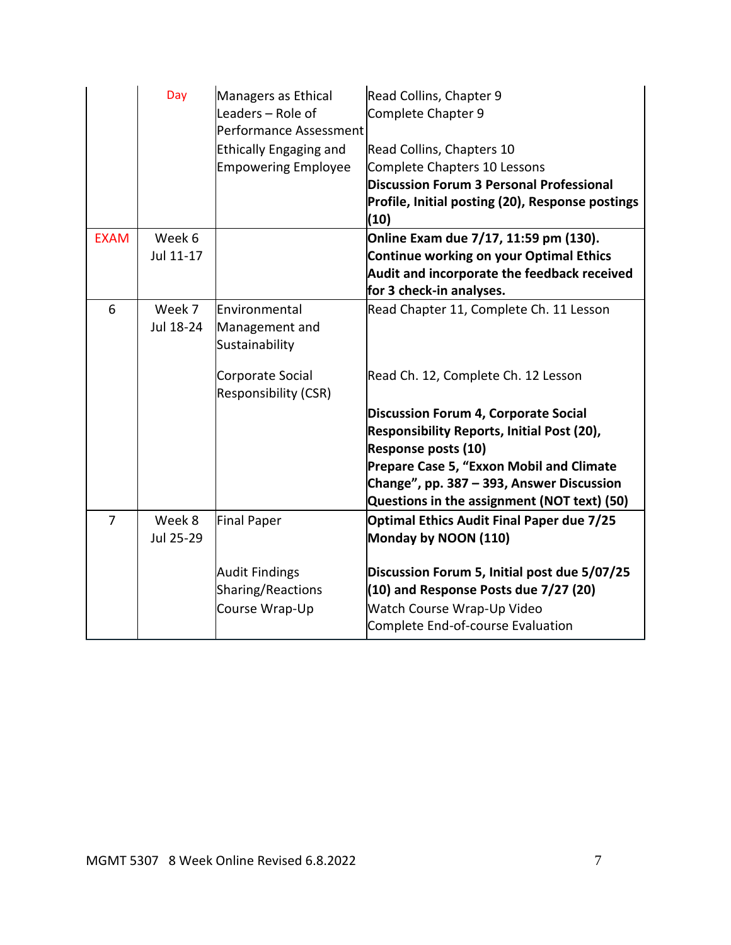|                | Day                 | Managers as Ethical<br>Leaders - Role of<br>Performance Assessment<br><b>Ethically Engaging and</b><br><b>Empowering Employee</b> | Read Collins, Chapter 9<br>Complete Chapter 9<br>Read Collins, Chapters 10<br>Complete Chapters 10 Lessons<br><b>Discussion Forum 3 Personal Professional</b><br>Profile, Initial posting (20), Response postings<br>(10)                                                                                                                         |
|----------------|---------------------|-----------------------------------------------------------------------------------------------------------------------------------|---------------------------------------------------------------------------------------------------------------------------------------------------------------------------------------------------------------------------------------------------------------------------------------------------------------------------------------------------|
| <b>EXAM</b>    | Week 6<br>Jul 11-17 |                                                                                                                                   | Online Exam due 7/17, 11:59 pm (130).<br><b>Continue working on your Optimal Ethics</b><br>Audit and incorporate the feedback received<br>for 3 check-in analyses.                                                                                                                                                                                |
| 6              | Week 7<br>Jul 18-24 | Environmental<br>Management and<br>Sustainability<br>Corporate Social<br>Responsibility (CSR)                                     | Read Chapter 11, Complete Ch. 11 Lesson<br>Read Ch. 12, Complete Ch. 12 Lesson<br><b>Discussion Forum 4, Corporate Social</b><br><b>Responsibility Reports, Initial Post (20),</b><br>Response posts (10)<br>Prepare Case 5, "Exxon Mobil and Climate<br>Change", pp. 387 - 393, Answer Discussion<br>Questions in the assignment (NOT text) (50) |
| $\overline{7}$ | Week 8<br>Jul 25-29 | Final Paper<br><b>Audit Findings</b><br>Sharing/Reactions<br>Course Wrap-Up                                                       | <b>Optimal Ethics Audit Final Paper due 7/25</b><br>Monday by NOON (110)<br>Discussion Forum 5, Initial post due 5/07/25<br>(10) and Response Posts due 7/27 (20)<br>Watch Course Wrap-Up Video<br>Complete End-of-course Evaluation                                                                                                              |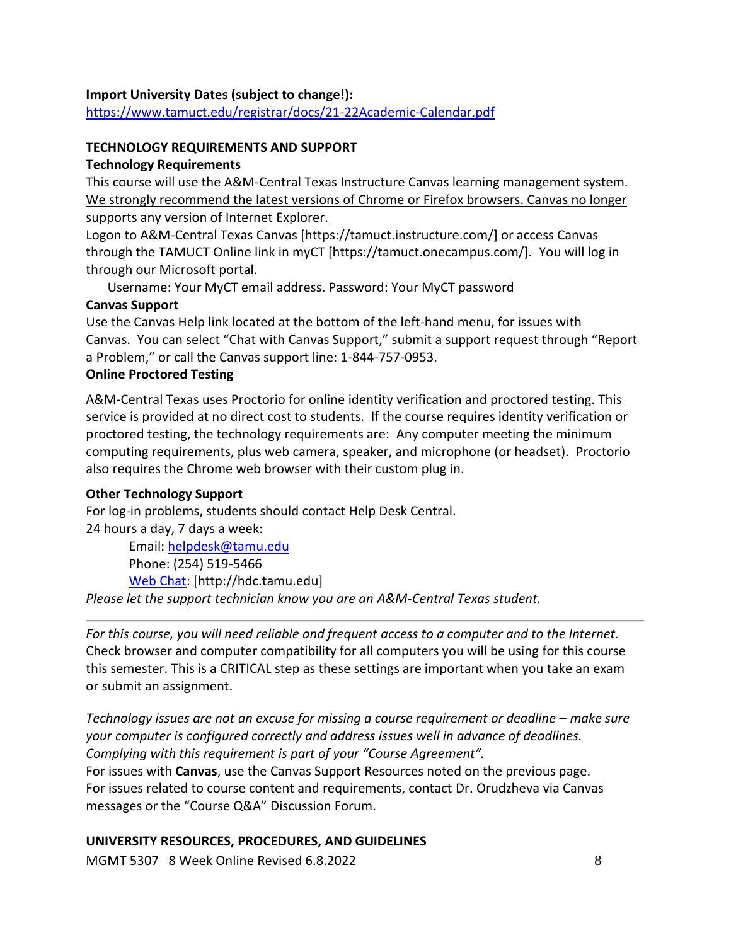## **Import University Dates (subject to change!):**

<https://www.tamuct.edu/registrar/docs/21-22Academic-Calendar.pdf>

## **TECHNOLOGY REQUIREMENTS AND SUPPORT**

#### **Technology Requirements**

This course will use the A&M-Central Texas Instructure Canvas learning management system. We strongly recommend the latest versions of Chrome or Firefox browsers. Canvas no longer supports any version of Internet Explorer.

Logon to A&M-Central Texas Canvas [https://tamuct.instructure.com/] or access Canvas through the TAMUCT Online link in myCT [https://tamuct.onecampus.com/]. You will log in through our Microsoft portal.

Username: Your MyCT email address. Password: Your MyCT password

## **Canvas Support**

Use the Canvas Help link located at the bottom of the left-hand menu, for issues with Canvas. You can select "Chat with Canvas Support," submit a support request through "Report a Problem," or call the Canvas support line: 1-844-757-0953.

#### **Online Proctored Testing**

A&M-Central Texas uses Proctorio for online identity verification and proctored testing. This service is provided at no direct cost to students. If the course requires identity verification or proctored testing, the technology requirements are: Any computer meeting the minimum computing requirements, plus web camera, speaker, and microphone (or headset). Proctorio also requires the Chrome web browser with their custom plug in.

## **Other Technology Support**

For log-in problems, students should contact Help Desk Central. 24 hours a day, 7 days a week:

Email: [helpdesk@tamu.edu](mailto:helpdesk@tamu.edu) Phone: (254) 519-5466 [Web Chat:](http://hdc.tamu.edu/) [http://hdc.tamu.edu] *Please let the support technician know you are an A&M-Central Texas student.*

*For this course, you will need reliable and frequent access to a computer and to the Internet.*  Check browser and computer compatibility for all computers you will be using for this course this semester. This is a CRITICAL step as these settings are important when you take an exam or submit an assignment.

*Technology issues are not an excuse for missing a course requirement or deadline – make sure your computer is configured correctly and address issues well in advance of deadlines. Complying with this requirement is part of your "Course Agreement".*

For issues with **Canvas**, use the Canvas Support Resources noted on the previous page. For issues related to course content and requirements, contact Dr. Orudzheva via Canvas messages or the "Course Q&A" Discussion Forum.

## **UNIVERSITY RESOURCES, PROCEDURES, AND GUIDELINES**

MGMT 5307 8 Week Online Revised 6.8.2022 Supply and the state of the state of the state of the state of the state of the state of the state of the state of the state of the state of the state of the state of the state of t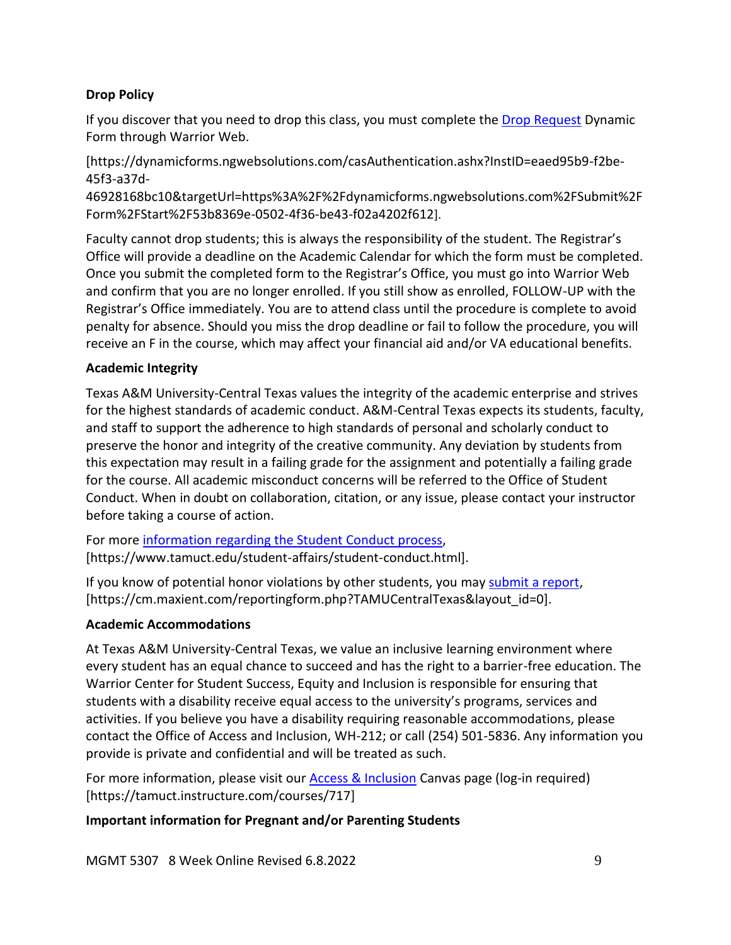## **Drop Policy**

If you discover that you need to drop this class, you must complete the [Drop Request](https://dynamicforms.ngwebsolutions.com/casAuthentication.ashx?InstID=eaed95b9-f2be-45f3-a37d-46928168bc10&targetUrl=https%3A%2F%2Fdynamicforms.ngwebsolutions.com%2FSubmit%2FForm%2FStart%2F53b8369e-0502-4f36-be43-f02a4202f612) Dynamic Form through Warrior Web.

[https://dynamicforms.ngwebsolutions.com/casAuthentication.ashx?InstID=eaed95b9-f2be-45f3-a37d-

46928168bc10&targetUrl=https%3A%2F%2Fdynamicforms.ngwebsolutions.com%2FSubmit%2F Form%2FStart%2F53b8369e-0502-4f36-be43-f02a4202f612].

Faculty cannot drop students; this is always the responsibility of the student. The Registrar's Office will provide a deadline on the Academic Calendar for which the form must be completed. Once you submit the completed form to the Registrar's Office, you must go into Warrior Web and confirm that you are no longer enrolled. If you still show as enrolled, FOLLOW-UP with the Registrar's Office immediately. You are to attend class until the procedure is complete to avoid penalty for absence. Should you miss the drop deadline or fail to follow the procedure, you will receive an F in the course, which may affect your financial aid and/or VA educational benefits.

# **Academic Integrity**

Texas A&M University-Central Texas values the integrity of the academic enterprise and strives for the highest standards of academic conduct. A&M-Central Texas expects its students, faculty, and staff to support the adherence to high standards of personal and scholarly conduct to preserve the honor and integrity of the creative community. Any deviation by students from this expectation may result in a failing grade for the assignment and potentially a failing grade for the course. All academic misconduct concerns will be referred to the Office of Student Conduct. When in doubt on collaboration, citation, or any issue, please contact your instructor before taking a course of action.

For more [information](https://nam04.safelinks.protection.outlook.com/?url=https%3A%2F%2Fwww.tamuct.edu%2Fstudent-affairs%2Fstudent-conduct.html&data=04%7C01%7Clisa.bunkowski%40tamuct.edu%7Ccfb6e486f24745f53e1a08d910055cb2%7C9eed4e3000f744849ff193ad8005acec%7C0%7C0%7C637558437485252160%7CUnknown%7CTWFpbGZsb3d8eyJWIjoiMC4wLjAwMDAiLCJQIjoiV2luMzIiLCJBTiI6Ik1haWwiLCJXVCI6Mn0%3D%7C1000&sdata=yjftDEVHvLX%2FhM%2FcFU0B99krV1RgEWR%2BJ%2BhvtoR6TYk%3D&reserved=0) regarding the Student Conduct process, [https://www.tamuct.edu/student-affairs/student-conduct.html].

If you know of potential honor violations by other students, you may [submit](https://nam04.safelinks.protection.outlook.com/?url=https%3A%2F%2Fcm.maxient.com%2Freportingform.php%3FTAMUCentralTexas%26layout_id%3D0&data=04%7C01%7Clisa.bunkowski%40tamuct.edu%7Ccfb6e486f24745f53e1a08d910055cb2%7C9eed4e3000f744849ff193ad8005acec%7C0%7C0%7C637558437485262157%7CUnknown%7CTWFpbGZsb3d8eyJWIjoiMC4wLjAwMDAiLCJQIjoiV2luMzIiLCJBTiI6Ik1haWwiLCJXVCI6Mn0%3D%7C1000&sdata=CXGkOa6uPDPX1IMZ87z3aZDq2n91xfHKu4MMS43Ejjk%3D&reserved=0) a report, [https://cm.maxient.com/reportingform.php?TAMUCentralTexas&layout\_id=0].

## **Academic Accommodations**

At Texas A&M University-Central Texas, we value an inclusive learning environment where every student has an equal chance to succeed and has the right to a barrier-free education. The Warrior Center for Student Success, Equity and Inclusion is responsible for ensuring that students with a disability receive equal access to the university's programs, services and activities. If you believe you have a disability requiring reasonable accommodations, please contact the Office of Access and Inclusion, WH-212; or call (254) 501-5836. Any information you provide is private and confidential and will be treated as such.

For more information, please visit our **Access & Inclusion Canvas page (log-in required)** [https://tamuct.instructure.com/courses/717]

# **Important information for Pregnant and/or Parenting Students**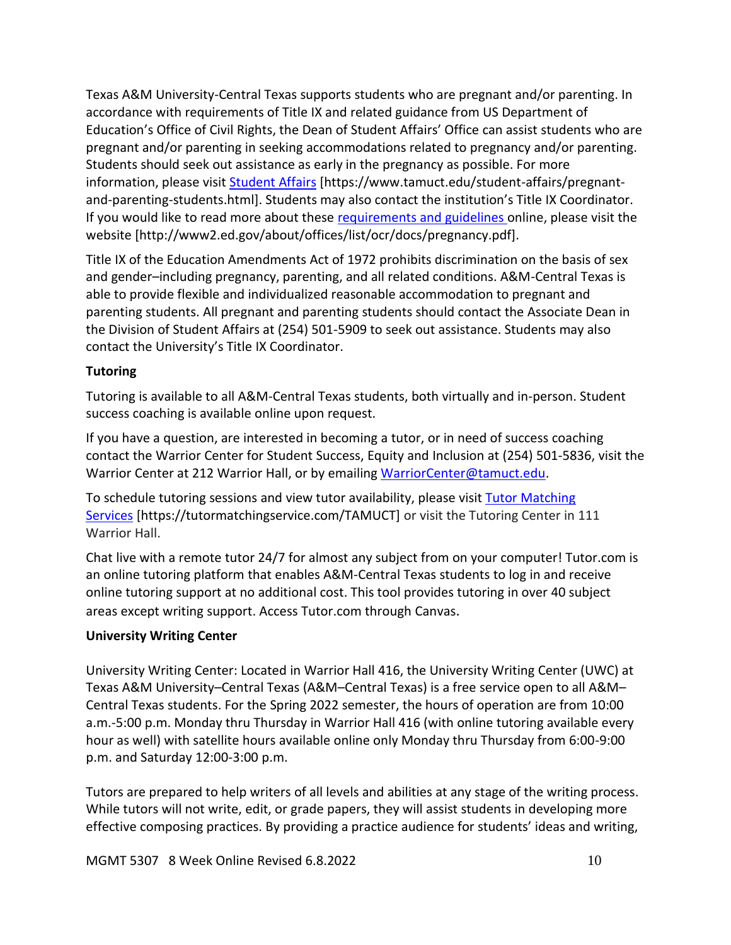Texas A&M University-Central Texas supports students who are pregnant and/or parenting. In accordance with requirements of Title IX and related guidance from US Department of Education's Office of Civil Rights, the Dean of Student Affairs' Office can assist students who are pregnant and/or parenting in seeking accommodations related to pregnancy and/or parenting. Students should seek out assistance as early in the pregnancy as possible. For more information, please visit [Student Affairs](https://www.tamuct.edu/student-affairs/pregnant-and-parenting-students.html) [https://www.tamuct.edu/student-affairs/pregnantand-parenting-students.html]. Students may also contact the institution's Title IX Coordinator. If you would like to read more about these [requirements and guidelines](http://www2.ed.gov/about/offices/list/ocr/docs/pregnancy.pdf) online, please visit the website [http://www2.ed.gov/about/offices/list/ocr/docs/pregnancy.pdf].

Title IX of the Education Amendments Act of 1972 prohibits discrimination on the basis of sex and gender–including pregnancy, parenting, and all related conditions. A&M-Central Texas is able to provide flexible and individualized reasonable accommodation to pregnant and parenting students. All pregnant and parenting students should contact the Associate Dean in the Division of Student Affairs at (254) 501-5909 to seek out assistance. Students may also contact the University's Title IX Coordinator.

# **Tutoring**

Tutoring is available to all A&M-Central Texas students, both virtually and in-person. Student success coaching is available online upon request.

If you have a question, are interested in becoming a tutor, or in need of success coaching contact the Warrior Center for Student Success, Equity and Inclusion at (254) 501-5836, visit the Warrior Center at 212 Warrior Hall, or by emailing [WarriorCenter@tamuct.edu.](mailto:WarriorCenter@tamuct.edu)

To schedule tutoring sessions and view tutor availability, please visit Tutor [Matching](https://tutormatchingservice.com/TAMUCT) [Services](https://tutormatchingservice.com/TAMUCT) [https://tutormatchingservice.com/TAMUCT] or visit the Tutoring Center in 111 Warrior Hall.

Chat live with a remote tutor 24/7 for almost any subject from on your computer! Tutor.com is an online tutoring platform that enables A&M-Central Texas students to log in and receive online tutoring support at no additional cost. This tool provides tutoring in over 40 subject areas except writing support. Access Tutor.com through Canvas.

## **University Writing Center**

University Writing Center: Located in Warrior Hall 416, the University Writing Center (UWC) at Texas A&M University–Central Texas (A&M–Central Texas) is a free service open to all A&M– Central Texas students. For the Spring 2022 semester, the hours of operation are from 10:00 a.m.-5:00 p.m. Monday thru Thursday in Warrior Hall 416 (with online tutoring available every hour as well) with satellite hours available online only Monday thru Thursday from 6:00-9:00 p.m. and Saturday 12:00-3:00 p.m.

Tutors are prepared to help writers of all levels and abilities at any stage of the writing process. While tutors will not write, edit, or grade papers, they will assist students in developing more effective composing practices. By providing a practice audience for students' ideas and writing,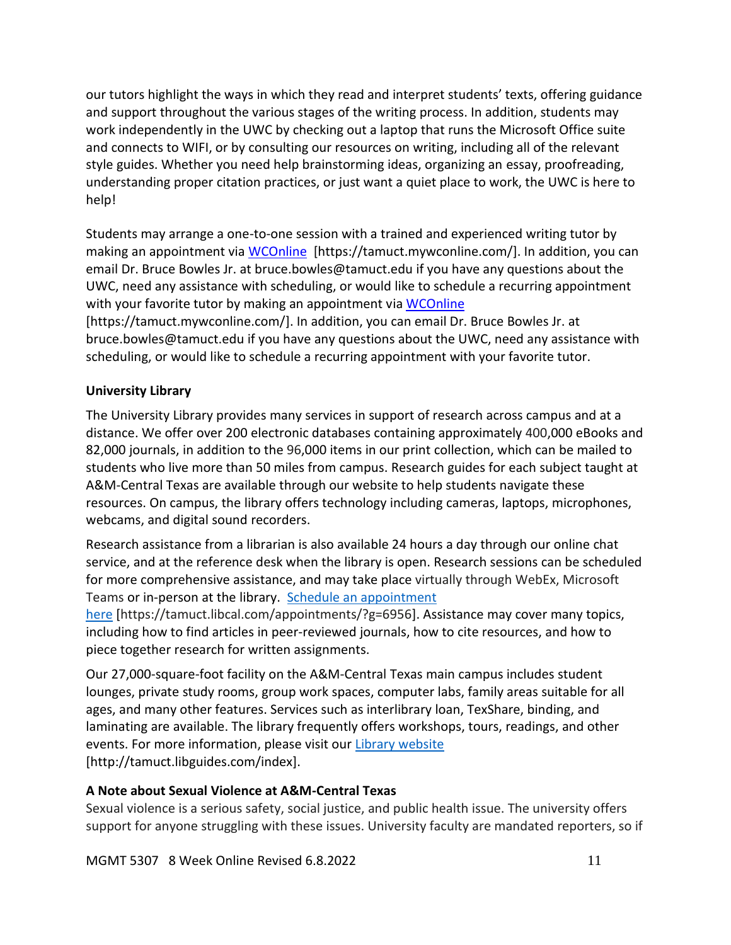our tutors highlight the ways in which they read and interpret students' texts, offering guidance and support throughout the various stages of the writing process. In addition, students may work independently in the UWC by checking out a laptop that runs the Microsoft Office suite and connects to WIFI, or by consulting our resources on writing, including all of the relevant style guides. Whether you need help brainstorming ideas, organizing an essay, proofreading, understanding proper citation practices, or just want a quiet place to work, the UWC is here to help!

Students may arrange a one-to-one session with a trained and experienced writing tutor by making an appointment via [WCOnline](https://tamuct.mywconline.com/) [https://tamuct.mywconline.com/]. In addition, you can email Dr. Bruce Bowles Jr. at bruce.bowles@tamuct.edu if you have any questions about the UWC, need any assistance with scheduling, or would like to schedule a recurring appointment with your favorite tutor by making an appointment via [WCOnline](https://tamuct.mywconline.com/) [https://tamuct.mywconline.com/]. In addition, you can email Dr. Bruce Bowles Jr. at

bruce.bowles@tamuct.edu if you have any questions about the UWC, need any assistance with scheduling, or would like to schedule a recurring appointment with your favorite tutor.

## **University Library**

The University Library provides many services in support of research across campus and at a distance. We offer over 200 electronic databases containing approximately 400,000 eBooks and 82,000 journals, in addition to the 96,000 items in our print collection, which can be mailed to students who live more than 50 miles from campus. Research guides for each subject taught at A&M-Central Texas are available through our website to help students navigate these resources. On campus, the library offers technology including cameras, laptops, microphones, webcams, and digital sound recorders.

Research assistance from a librarian is also available 24 hours a day through our online chat service, and at the reference desk when the library is open. Research sessions can be scheduled for more comprehensive assistance, and may take place virtually through WebEx, Microsoft Teams or in-person at the library. Schedule an [appointment](https://nam04.safelinks.protection.outlook.com/?url=https%3A%2F%2Ftamuct.libcal.com%2Fappointments%2F%3Fg%3D6956&data=04%7C01%7Clisa.bunkowski%40tamuct.edu%7Cde2c07d9f5804f09518008d9ab7ba6ff%7C9eed4e3000f744849ff193ad8005acec%7C0%7C0%7C637729369835011558%7CUnknown%7CTWFpbGZsb3d8eyJWIjoiMC4wLjAwMDAiLCJQIjoiV2luMzIiLCJBTiI6Ik1haWwiLCJXVCI6Mn0%3D%7C3000&sdata=KhtjgRSAw9aq%2FoBsB6wyu8b7PSuGN5EGPypzr3Ty2No%3D&reserved=0)

[here](https://nam04.safelinks.protection.outlook.com/?url=https%3A%2F%2Ftamuct.libcal.com%2Fappointments%2F%3Fg%3D6956&data=04%7C01%7Clisa.bunkowski%40tamuct.edu%7Cde2c07d9f5804f09518008d9ab7ba6ff%7C9eed4e3000f744849ff193ad8005acec%7C0%7C0%7C637729369835011558%7CUnknown%7CTWFpbGZsb3d8eyJWIjoiMC4wLjAwMDAiLCJQIjoiV2luMzIiLCJBTiI6Ik1haWwiLCJXVCI6Mn0%3D%7C3000&sdata=KhtjgRSAw9aq%2FoBsB6wyu8b7PSuGN5EGPypzr3Ty2No%3D&reserved=0) [https://tamuct.libcal.com/appointments/?g=6956]. Assistance may cover many topics, including how to find articles in peer-reviewed journals, how to cite resources, and how to piece together research for written assignments.

Our 27,000-square-foot facility on the A&M-Central Texas main campus includes student lounges, private study rooms, group work spaces, computer labs, family areas suitable for all ages, and many other features. Services such as interlibrary loan, TexShare, binding, and laminating are available. The library frequently offers workshops, tours, readings, and other events. For more information, please visit our Library [website](https://nam04.safelinks.protection.outlook.com/?url=https%3A%2F%2Ftamuct.libguides.com%2Findex&data=04%7C01%7Clisa.bunkowski%40tamuct.edu%7C7d8489e8839a4915335f08d916f067f2%7C9eed4e3000f744849ff193ad8005acec%7C0%7C0%7C637566044056484222%7CUnknown%7CTWFpbGZsb3d8eyJWIjoiMC4wLjAwMDAiLCJQIjoiV2luMzIiLCJBTiI6Ik1haWwiLCJXVCI6Mn0%3D%7C1000&sdata=2R755V6rcIyedGrd4Os5rkgn1PvhHKU3kUV1vBKiHFo%3D&reserved=0) [http://tamuct.libguides.com/index].

## **A Note about Sexual Violence at A&M-Central Texas**

Sexual violence is a serious safety, social justice, and public health issue. The university offers support for anyone struggling with these issues. University faculty are mandated reporters, so if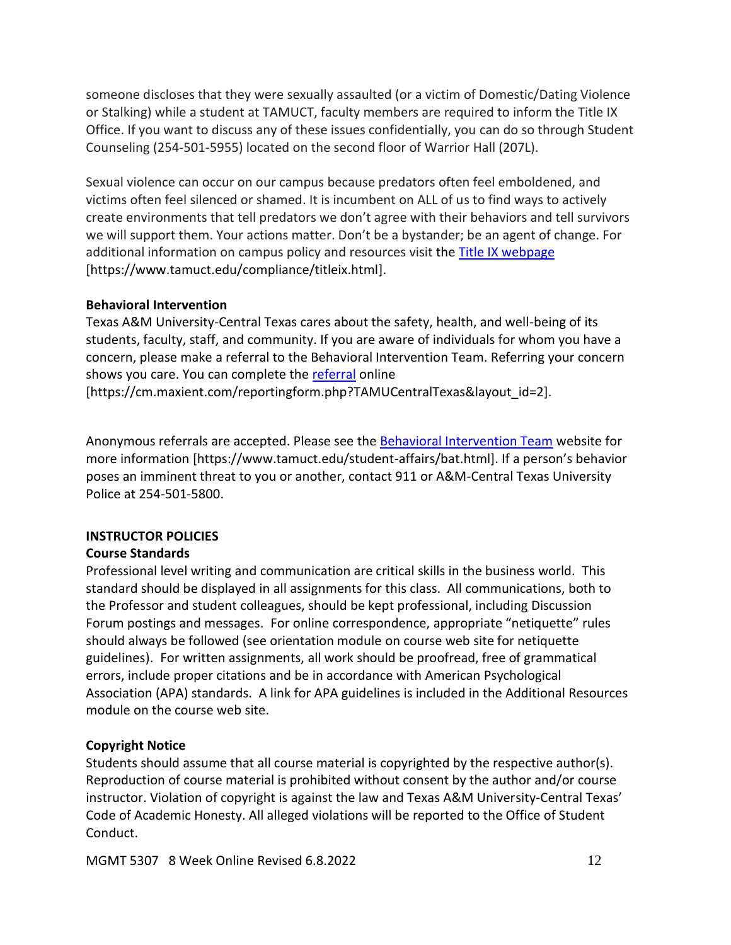someone discloses that they were sexually assaulted (or a victim of Domestic/Dating Violence or Stalking) while a student at TAMUCT, faculty members are required to inform the Title IX Office. If you want to discuss any of these issues confidentially, you can do so through Student Counseling (254-501-5955) located on the second floor of Warrior Hall (207L).

Sexual violence can occur on our campus because predators often feel emboldened, and victims often feel silenced or shamed. It is incumbent on ALL of us to find ways to actively create environments that tell predators we don't agree with their behaviors and tell survivors we will support them. Your actions matter. Don't be a bystander; be an agent of change. For additional information on campus policy and resources visit the **Title IX webpage** [\[https://www.tamuct.edu/compliance/titleix.html\]](https://www.tamuct.edu/compliance/titleix.html).

#### **Behavioral Intervention**

Texas A&M University-Central Texas cares about the safety, health, and well-being of its students, faculty, staff, and community. If you are aware of individuals for whom you have a concern, please make a referral to the Behavioral Intervention Team. Referring your concern shows you care. You can complete the [referral](https://cm.maxient.com/reportingform.php?TAMUCentralTexas&layout_id=2) online [https://cm.maxient.com/reportingform.php?TAMUCentralTexas&layout\_id=2].

Anonymous referrals are accepted. Please see the [Behavioral Intervention Team](https://www.tamuct.edu/student-affairs/bat.html) website for

more information [https://www.tamuct.edu/student-affairs/bat.html]. If a person's behavior poses an imminent threat to you or another, contact 911 or A&M-Central Texas University Police at 254-501-5800.

## **INSTRUCTOR POLICIES**

## **Course Standards**

Professional level writing and communication are critical skills in the business world. This standard should be displayed in all assignments for this class. All communications, both to the Professor and student colleagues, should be kept professional, including Discussion Forum postings and messages. For online correspondence, appropriate "netiquette" rules should always be followed (see orientation module on course web site for netiquette guidelines). For written assignments, all work should be proofread, free of grammatical errors, include proper citations and be in accordance with American Psychological Association (APA) standards. A link for APA guidelines is included in the Additional Resources module on the course web site.

# **Copyright Notice**

Students should assume that all course material is copyrighted by the respective author(s). Reproduction of course material is prohibited without consent by the author and/or course instructor. Violation of copyright is against the law and Texas A&M University-Central Texas' Code of Academic Honesty. All alleged violations will be reported to the Office of Student Conduct.